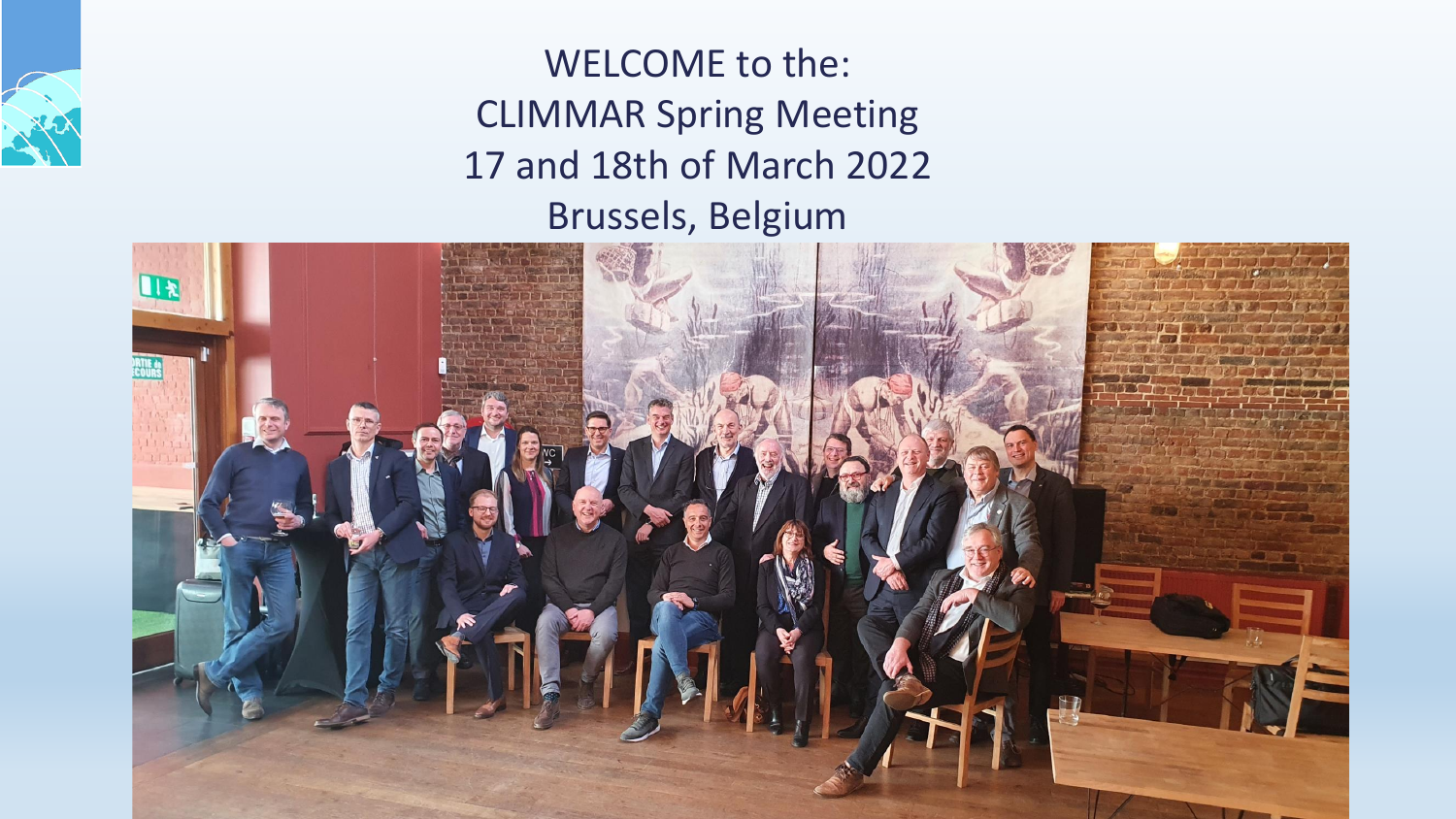

WELCOME to the: CLIMMAR Spring Meeting 17 and 18th of March 2022 Brussels, Belgium

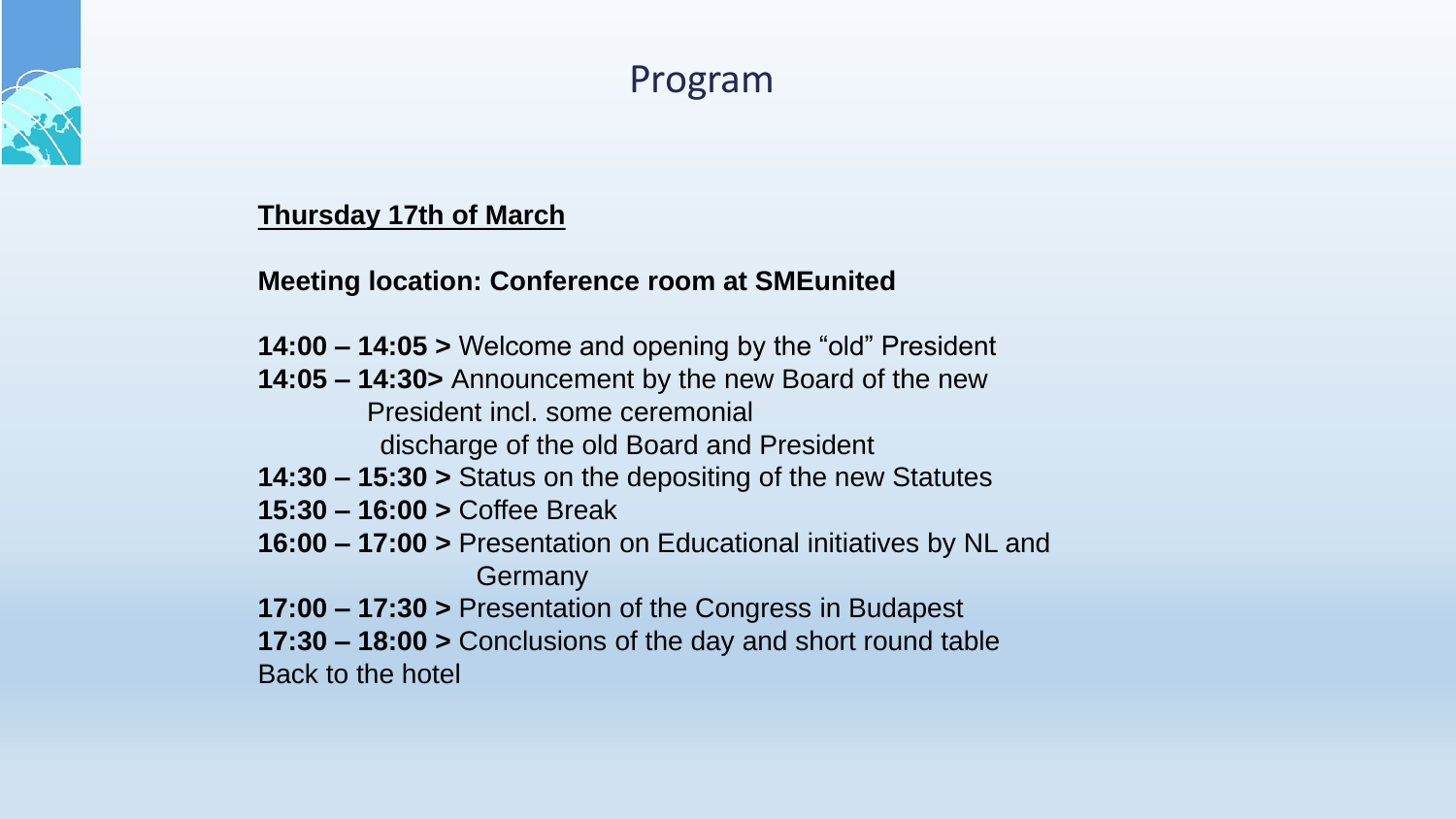

# Program

#### **Thursday 17th of March**

#### **Meeting location: Conference room at SMEunited**

- **14:00 – 14:05 >** Welcome and opening by the "old" President
- **14:05 – 14:30>** Announcement by the new Board of the new President incl. some ceremonial discharge of the old Board and President
- **14:30 – 15:30 >** Status on the depositing of the new Statutes
- **15:30 – 16:00 >** Coffee Break
- **16:00 – 17:00 >** Presentation on Educational initiatives by NL and **Germany**
- **17:00 – 17:30 >** Presentation of the Congress in Budapest
- **17:30 – 18:00 >** Conclusions of the day and short round table Back to the hotel